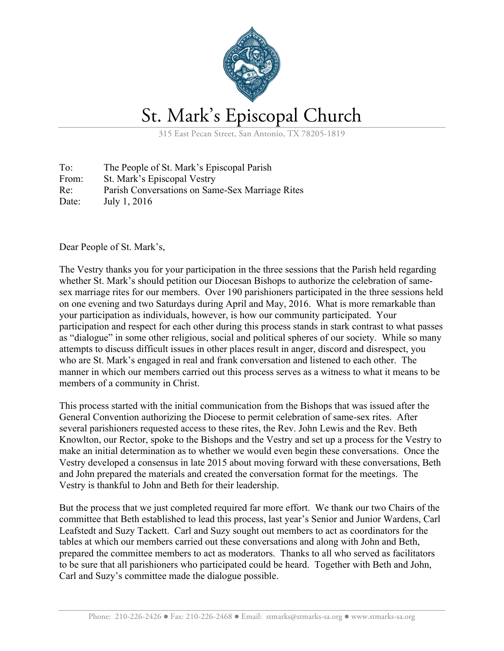

## St. Mark's Episcopal Church

315 East Pecan Street, San Antonio, TX 78205-1819

To: The People of St. Mark's Episcopal Parish From: St. Mark's Episcopal Vestry Re: Parish Conversations on Same-Sex Marriage Rites Date: July 1, 2016

Dear People of St. Mark's,

The Vestry thanks you for your participation in the three sessions that the Parish held regarding whether St. Mark's should petition our Diocesan Bishops to authorize the celebration of samesex marriage rites for our members. Over 190 parishioners participated in the three sessions held on one evening and two Saturdays during April and May, 2016. What is more remarkable than your participation as individuals, however, is how our community participated. Your participation and respect for each other during this process stands in stark contrast to what passes as "dialogue" in some other religious, social and political spheres of our society. While so many attempts to discuss difficult issues in other places result in anger, discord and disrespect, you who are St. Mark's engaged in real and frank conversation and listened to each other. The manner in which our members carried out this process serves as a witness to what it means to be members of a community in Christ.

This process started with the initial communication from the Bishops that was issued after the General Convention authorizing the Diocese to permit celebration of same-sex rites. After several parishioners requested access to these rites, the Rev. John Lewis and the Rev. Beth Knowlton, our Rector, spoke to the Bishops and the Vestry and set up a process for the Vestry to make an initial determination as to whether we would even begin these conversations. Once the Vestry developed a consensus in late 2015 about moving forward with these conversations, Beth and John prepared the materials and created the conversation format for the meetings. The Vestry is thankful to John and Beth for their leadership.

But the process that we just completed required far more effort. We thank our two Chairs of the committee that Beth established to lead this process, last year's Senior and Junior Wardens, Carl Leafstedt and Suzy Tackett. Carl and Suzy sought out members to act as coordinators for the tables at which our members carried out these conversations and along with John and Beth, prepared the committee members to act as moderators. Thanks to all who served as facilitators to be sure that all parishioners who participated could be heard. Together with Beth and John, Carl and Suzy's committee made the dialogue possible.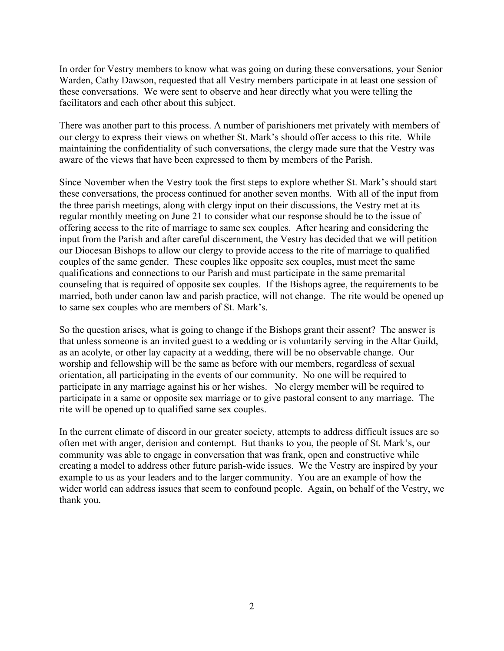In order for Vestry members to know what was going on during these conversations, your Senior Warden, Cathy Dawson, requested that all Vestry members participate in at least one session of these conversations. We were sent to observe and hear directly what you were telling the facilitators and each other about this subject.

There was another part to this process. A number of parishioners met privately with members of our clergy to express their views on whether St. Mark's should offer access to this rite. While maintaining the confidentiality of such conversations, the clergy made sure that the Vestry was aware of the views that have been expressed to them by members of the Parish.

Since November when the Vestry took the first steps to explore whether St. Mark's should start these conversations, the process continued for another seven months. With all of the input from the three parish meetings, along with clergy input on their discussions, the Vestry met at its regular monthly meeting on June 21 to consider what our response should be to the issue of offering access to the rite of marriage to same sex couples. After hearing and considering the input from the Parish and after careful discernment, the Vestry has decided that we will petition our Diocesan Bishops to allow our clergy to provide access to the rite of marriage to qualified couples of the same gender. These couples like opposite sex couples, must meet the same qualifications and connections to our Parish and must participate in the same premarital counseling that is required of opposite sex couples. If the Bishops agree, the requirements to be married, both under canon law and parish practice, will not change. The rite would be opened up to same sex couples who are members of St. Mark's.

So the question arises, what is going to change if the Bishops grant their assent? The answer is that unless someone is an invited guest to a wedding or is voluntarily serving in the Altar Guild, as an acolyte, or other lay capacity at a wedding, there will be no observable change. Our worship and fellowship will be the same as before with our members, regardless of sexual orientation, all participating in the events of our community. No one will be required to participate in any marriage against his or her wishes. No clergy member will be required to participate in a same or opposite sex marriage or to give pastoral consent to any marriage. The rite will be opened up to qualified same sex couples.

In the current climate of discord in our greater society, attempts to address difficult issues are so often met with anger, derision and contempt. But thanks to you, the people of St. Mark's, our community was able to engage in conversation that was frank, open and constructive while creating a model to address other future parish-wide issues. We the Vestry are inspired by your example to us as your leaders and to the larger community. You are an example of how the wider world can address issues that seem to confound people. Again, on behalf of the Vestry, we thank you.